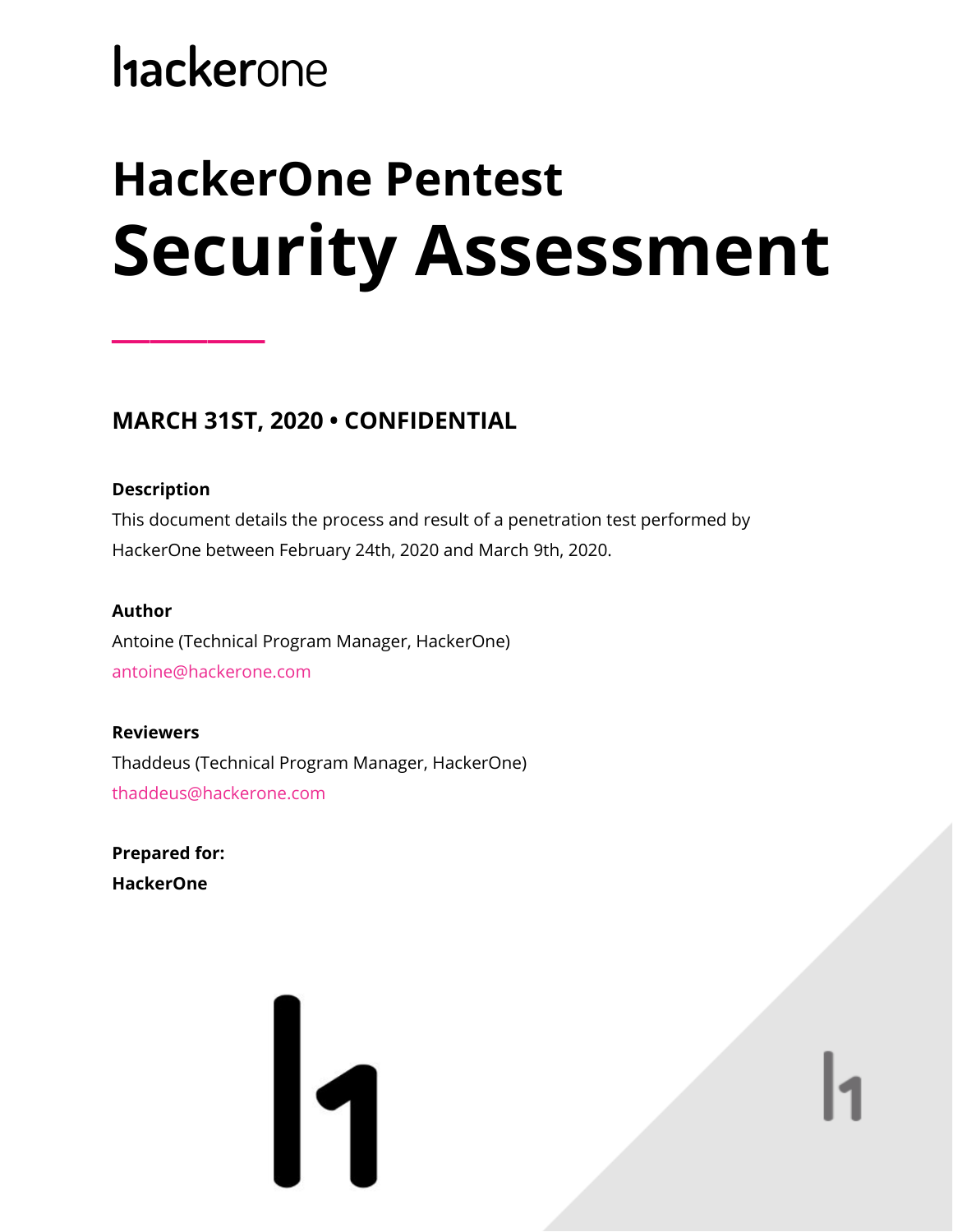# **hackerone**

# **HackerOne Pentest Security Assessment**

### **MARCH 31ST, 2020 • CONFIDENTIAL**

### **Description**

**\_\_\_\_\_\_\_\_**

This document details the process and result of a penetration test performed by HackerOne between February 24th, 2020 and March 9th, 2020.

### **Author**

Antoine (Technical Program Manager, HackerOne) antoine@hackerone.com

### **Reviewers**

Thaddeus (Technical Program Manager, HackerOne) thaddeus@hackerone.com

**Prepared for: HackerOne**

# 11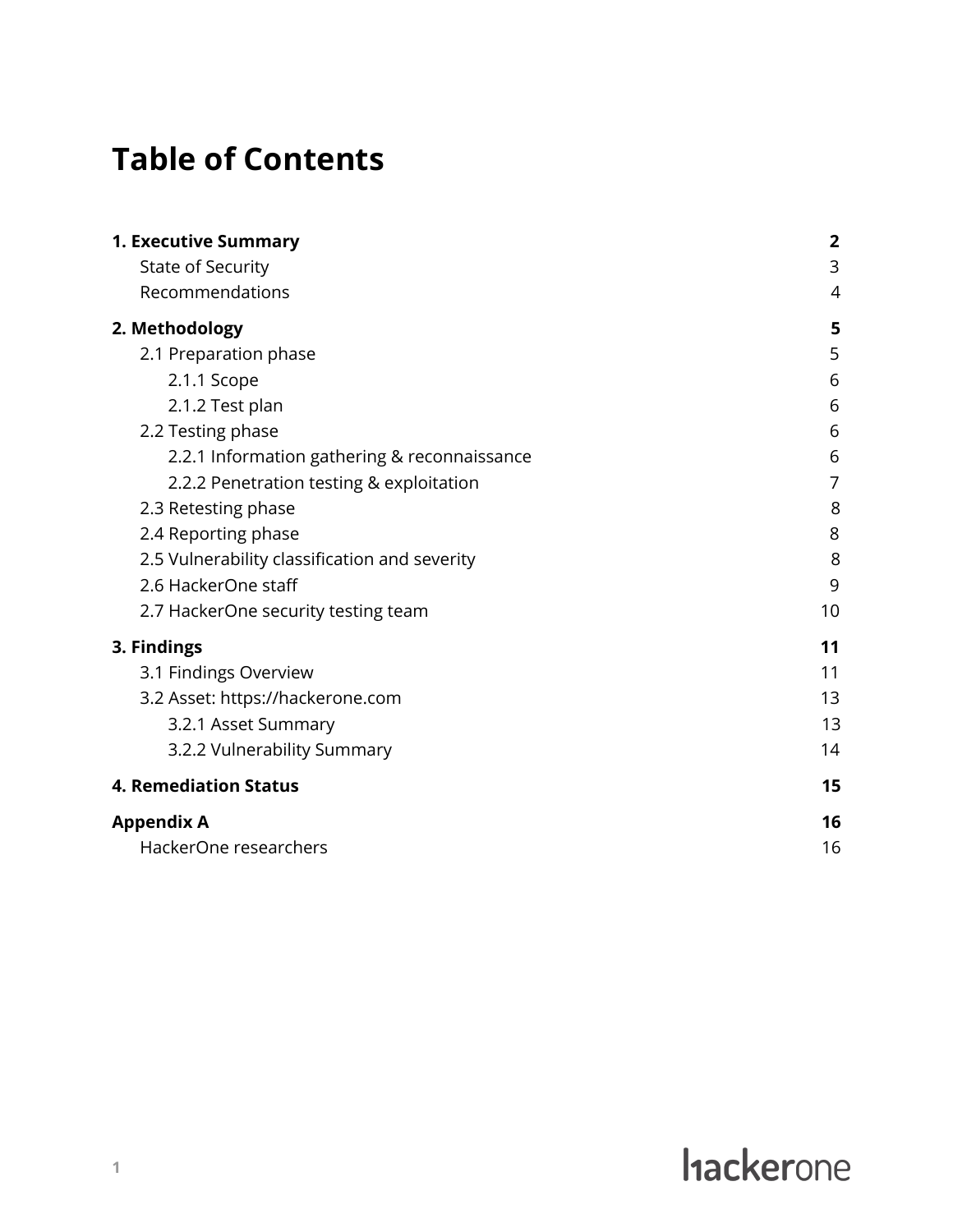# **Table of Contents**

| <b>1. Executive Summary</b>                   | $\overline{2}$ |
|-----------------------------------------------|----------------|
| <b>State of Security</b>                      | 3              |
| Recommendations                               | 4              |
| 2. Methodology                                | 5              |
| 2.1 Preparation phase                         | 5              |
| 2.1.1 Scope                                   | 6              |
| 2.1.2 Test plan                               | 6              |
| 2.2 Testing phase                             | 6              |
| 2.2.1 Information gathering & reconnaissance  | 6              |
| 2.2.2 Penetration testing & exploitation      | 7              |
| 2.3 Retesting phase                           | 8              |
| 2.4 Reporting phase                           | 8              |
| 2.5 Vulnerability classification and severity | 8              |
| 2.6 HackerOne staff                           | 9              |
| 2.7 HackerOne security testing team           | 10             |
| 3. Findings                                   | 11             |
| 3.1 Findings Overview                         | 11             |
| 3.2 Asset: https://hackerone.com              | 13             |
| 3.2.1 Asset Summary                           | 13             |
| 3.2.2 Vulnerability Summary                   | 14             |
| <b>4. Remediation Status</b>                  | 15             |
| <b>Appendix A</b>                             | 16             |
| HackerOne researchers                         | 16             |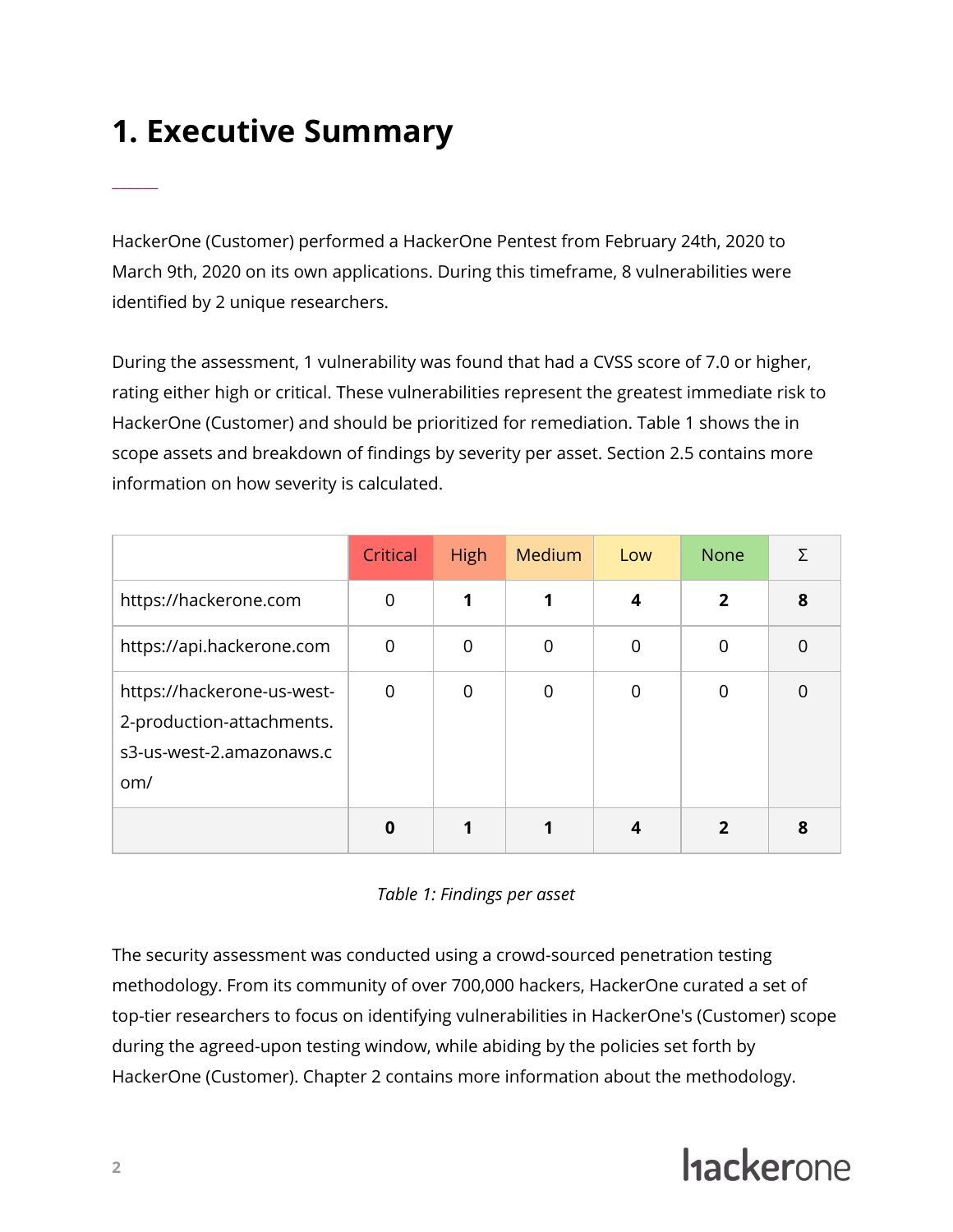# <span id="page-2-0"></span>**1. Executive Summary**

\_\_\_\_\_\_

HackerOne (Customer) performed a HackerOne Pentest from February 24th, 2020 to March 9th, 2020 on its own applications. During this timeframe, 8 vulnerabilities were identified by 2 unique researchers.

During the assessment, 1 vulnerability was found that had a CVSS score of 7.0 or higher, rating either high or critical. These vulnerabilities represent the greatest immediate risk to HackerOne (Customer) and should be prioritized for remediation. Table 1 shows the in scope assets and breakdown of findings by severity per asset. Section 2.5 contains more information on how severity is calculated.

|                                                                                            | Critical    | <b>High</b> | Medium      | Low | <b>None</b>    | Σ              |
|--------------------------------------------------------------------------------------------|-------------|-------------|-------------|-----|----------------|----------------|
| https://hackerone.com                                                                      | $\mathbf 0$ | 1           |             | 4   | $\overline{2}$ | 8              |
| https://api.hackerone.com                                                                  | 0           | 0           | $\mathbf 0$ | 0   | 0              | $\overline{0}$ |
| https://hackerone-us-west-<br>2-production-attachments.<br>s3-us-west-2.amazonaws.c<br>om/ | $\mathbf 0$ | $\mathbf 0$ | $\mathbf 0$ | 0   | $\overline{0}$ | $\Omega$       |
|                                                                                            | 0           |             |             |     | 2              | 8              |



The security assessment was conducted using a crowd-sourced penetration testing methodology. From its community of over 700,000 hackers, HackerOne curated a set of top-tier researchers to focus on identifying vulnerabilities in HackerOne's (Customer) scope during the agreed-upon testing window, while abiding by the policies set forth by HackerOne (Customer). Chapter 2 contains more information about the methodology.

# **Hackerone**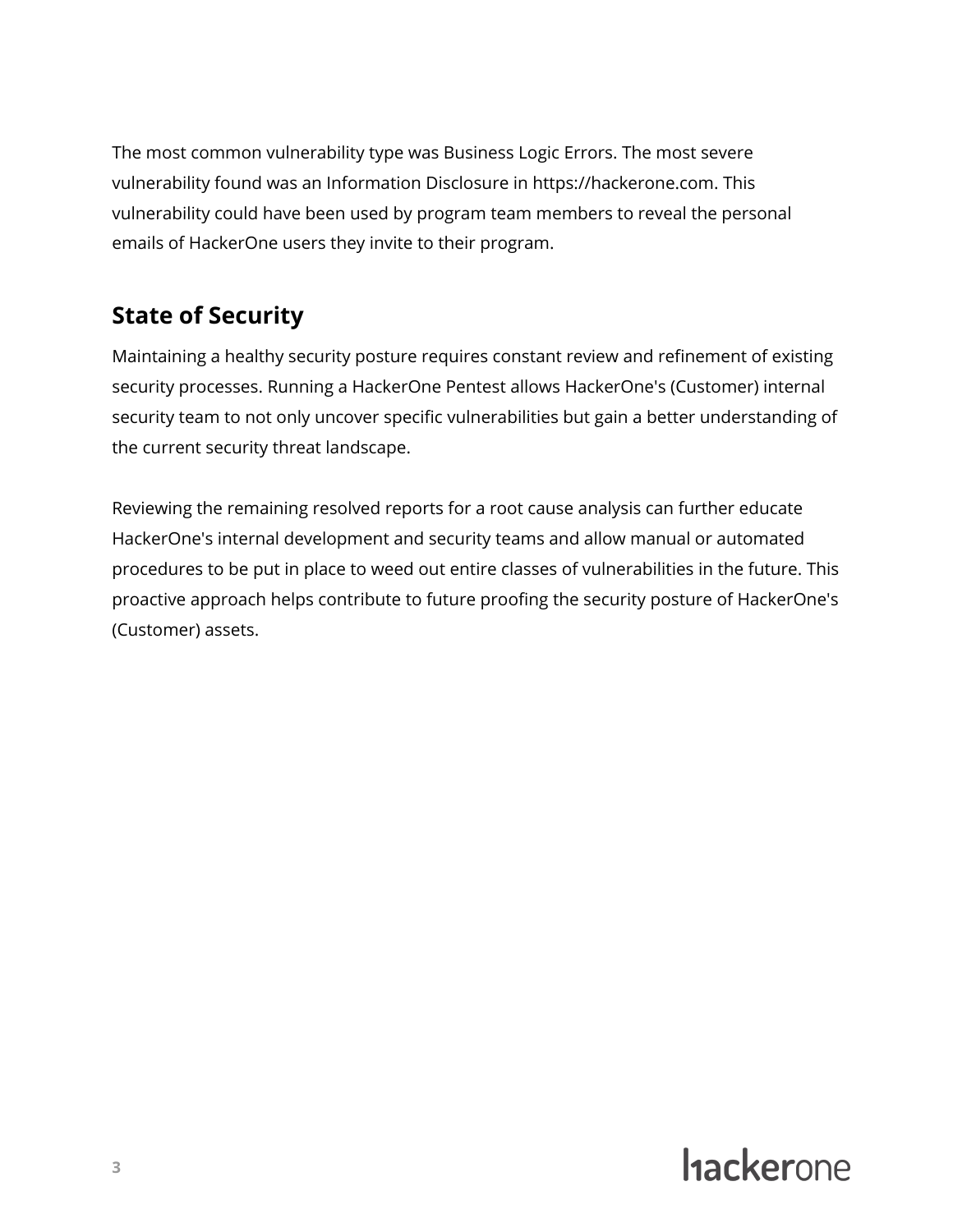The most common vulnerability type was Business Logic Errors. The most severe vulnerability found was an Information Disclosure in https://hackerone.com. This vulnerability could have been used by program team members to reveal the personal emails of HackerOne users they invite to their program.

### <span id="page-3-0"></span>**State of Security**

Maintaining a healthy security posture requires constant review and refinement of existing security processes. Running a HackerOne Pentest allows HackerOne's (Customer) internal security team to not only uncover specific vulnerabilities but gain a better understanding of the current security threat landscape.

Reviewing the remaining resolved reports for a root cause analysis can further educate HackerOne's internal development and security teams and allow manual or automated procedures to be put in place to weed out entire classes of vulnerabilities in the future. This proactive approach helps contribute to future proofing the security posture of HackerOne's (Customer) assets.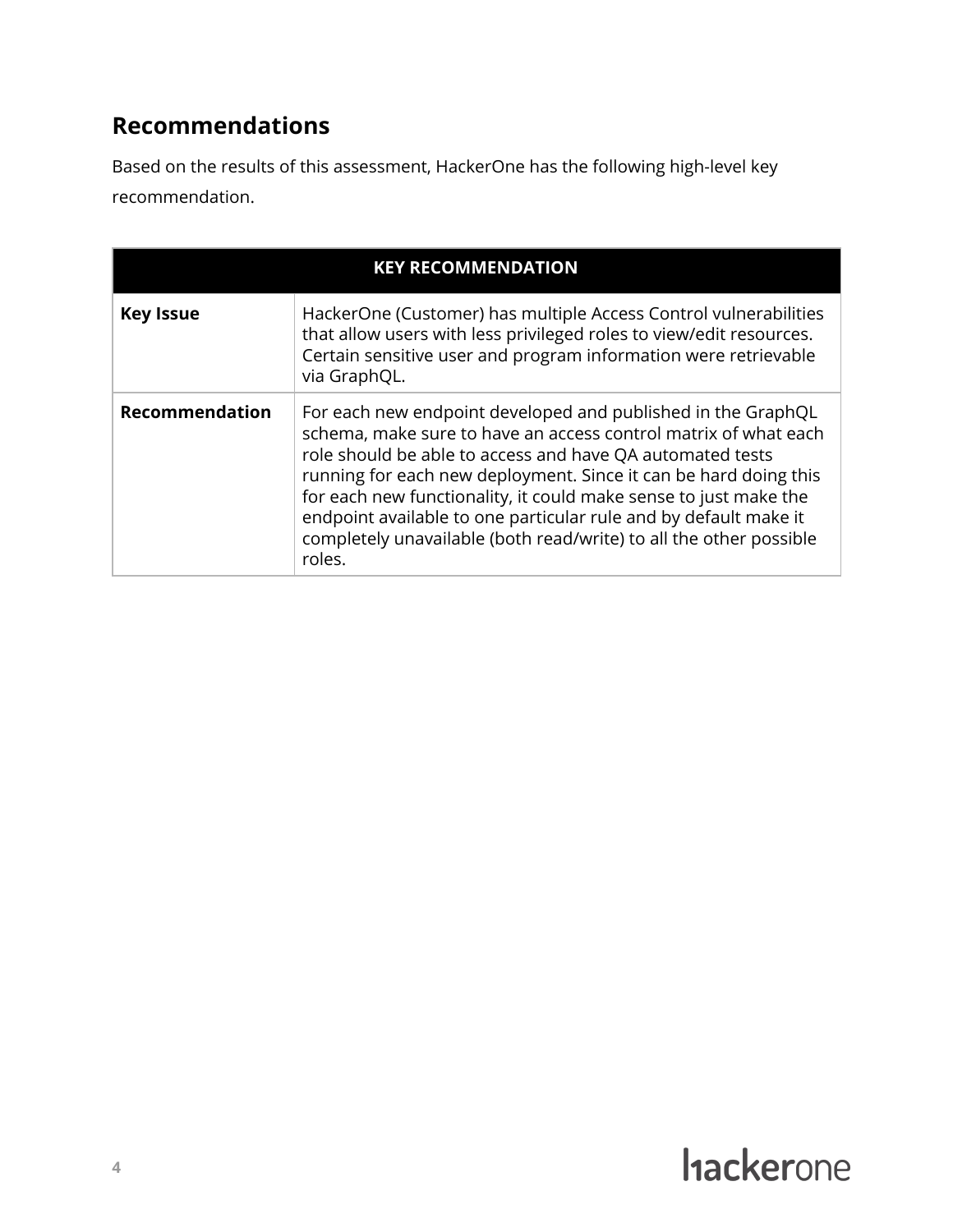### <span id="page-4-0"></span>**Recommendations**

Based on the results of this assessment, HackerOne has the following high-level key recommendation.

| <b>KEY RECOMMENDATION</b> |                                                                                                                                                                                                                                                                                                                                                                                                                                                                                          |  |  |
|---------------------------|------------------------------------------------------------------------------------------------------------------------------------------------------------------------------------------------------------------------------------------------------------------------------------------------------------------------------------------------------------------------------------------------------------------------------------------------------------------------------------------|--|--|
| <b>Key Issue</b>          | HackerOne (Customer) has multiple Access Control vulnerabilities<br>that allow users with less privileged roles to view/edit resources.<br>Certain sensitive user and program information were retrievable<br>via GraphQL.                                                                                                                                                                                                                                                               |  |  |
| <b>Recommendation</b>     | For each new endpoint developed and published in the GraphQL<br>schema, make sure to have an access control matrix of what each<br>role should be able to access and have QA automated tests<br>running for each new deployment. Since it can be hard doing this<br>for each new functionality, it could make sense to just make the<br>endpoint available to one particular rule and by default make it<br>completely unavailable (both read/write) to all the other possible<br>roles. |  |  |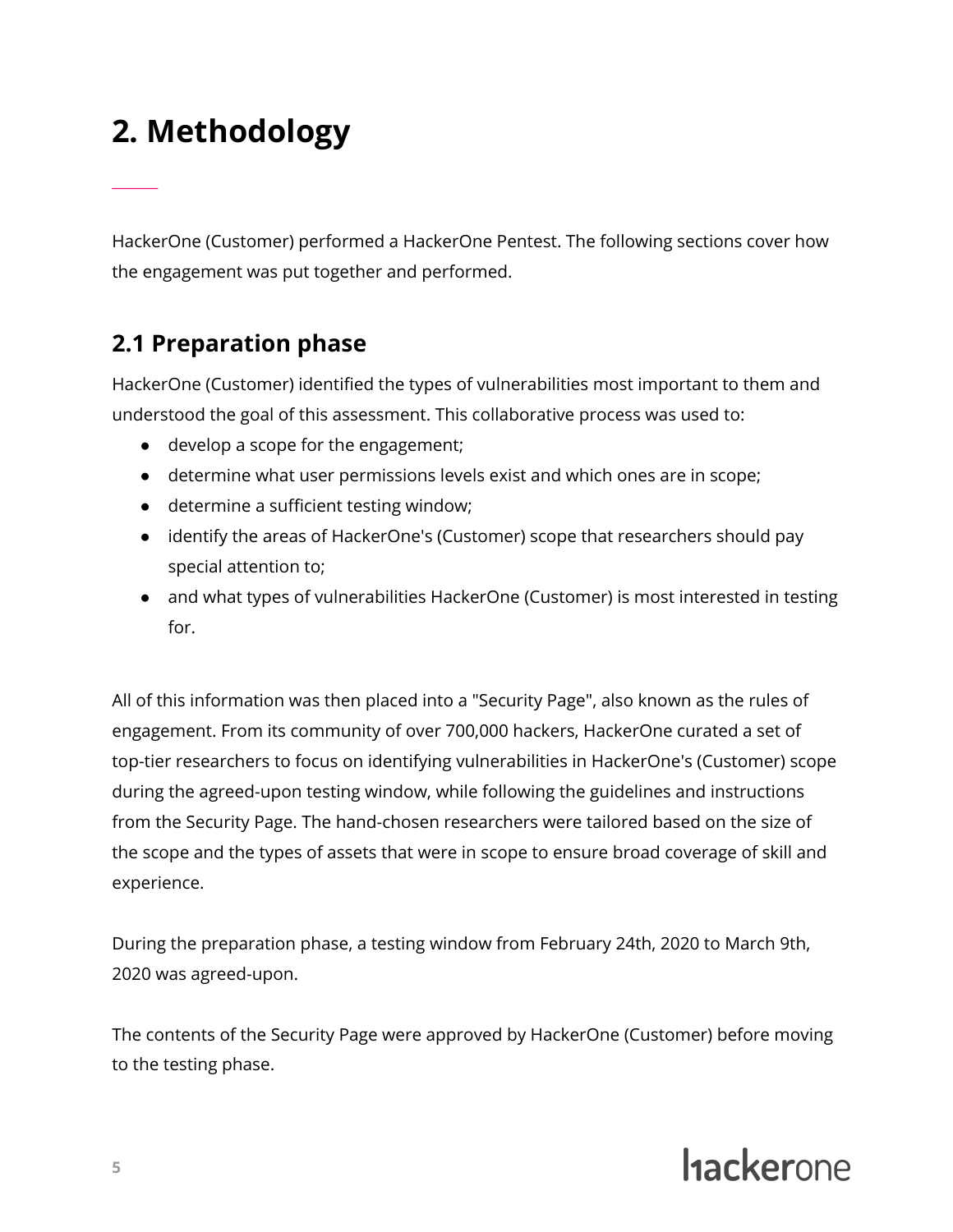# <span id="page-5-0"></span>**2. Methodology**

\_\_\_\_\_\_

HackerOne (Customer) performed a HackerOne Pentest. The following sections cover how the engagement was put together and performed.

### <span id="page-5-1"></span>**2.1 Preparation phase**

HackerOne (Customer) identified the types of vulnerabilities most important to them and understood the goal of this assessment. This collaborative process was used to:

- develop a scope for the engagement;
- determine what user permissions levels exist and which ones are in scope;
- determine a sufficient testing window;
- identify the areas of HackerOne's (Customer) scope that researchers should pay special attention to;
- and what types of vulnerabilities HackerOne (Customer) is most interested in testing for.

All of this information was then placed into a "Security Page", also known as the rules of engagement. From its community of over 700,000 hackers, HackerOne curated a set of top-tier researchers to focus on identifying vulnerabilities in HackerOne's (Customer) scope during the agreed-upon testing window, while following the guidelines and instructions from the Security Page. The hand-chosen researchers were tailored based on the size of the scope and the types of assets that were in scope to ensure broad coverage of skill and experience.

During the preparation phase, a testing window from February 24th, 2020 to March 9th, 2020 was agreed-upon.

The contents of the Security Page were approved by HackerOne (Customer) before moving to the testing phase.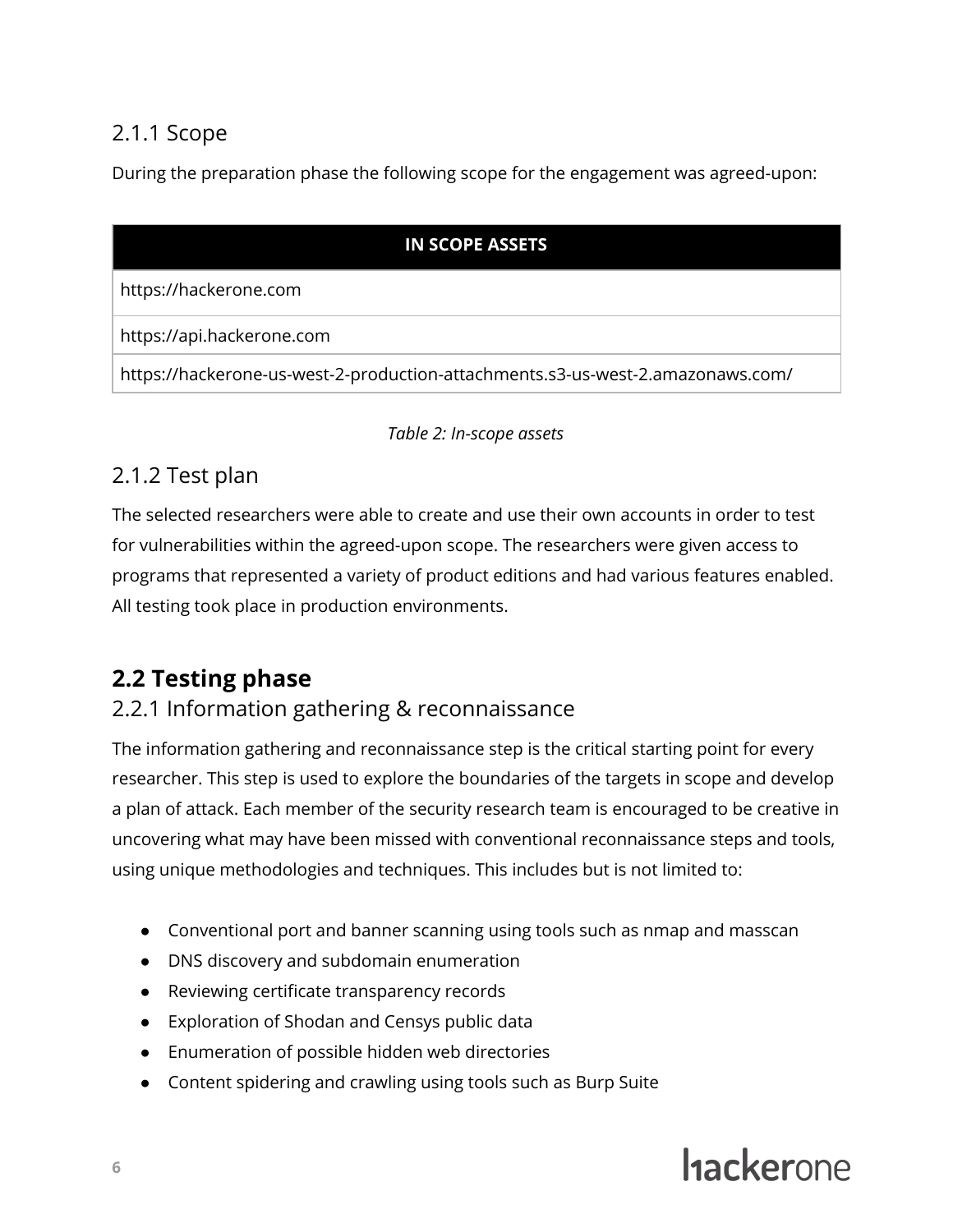### <span id="page-6-0"></span>2.1.1 Scope

During the preparation phase the following scope for the engagement was agreed-upon:

### **IN SCOPE ASSETS**

https://hackerone.com

https://api.hackerone.com

https://hackerone-us-west-2-production-attachments.s3-us-west-2.amazonaws.com/

### *Table 2: In-scope assets*

### <span id="page-6-1"></span>2.1.2 Test plan

The selected researchers were able to create and use their own accounts in order to test for vulnerabilities within the agreed-upon scope. The researchers were given access to programs that represented a variety of product editions and had various features enabled. All testing took place in production environments.

### <span id="page-6-2"></span>**2.2 Testing phase**

### <span id="page-6-3"></span>2.2.1 Information gathering & reconnaissance

The information gathering and reconnaissance step is the critical starting point for every researcher. This step is used to explore the boundaries of the targets in scope and develop a plan of attack. Each member of the security research team is encouraged to be creative in uncovering what may have been missed with conventional reconnaissance steps and tools, using unique methodologies and techniques. This includes but is not limited to:

- Conventional port and banner scanning using tools such as nmap and masscan
- DNS discovery and subdomain enumeration
- Reviewing certificate transparency records
- Exploration of Shodan and Censys public data
- Enumeration of possible hidden web directories
- Content spidering and crawling using tools such as Burp Suite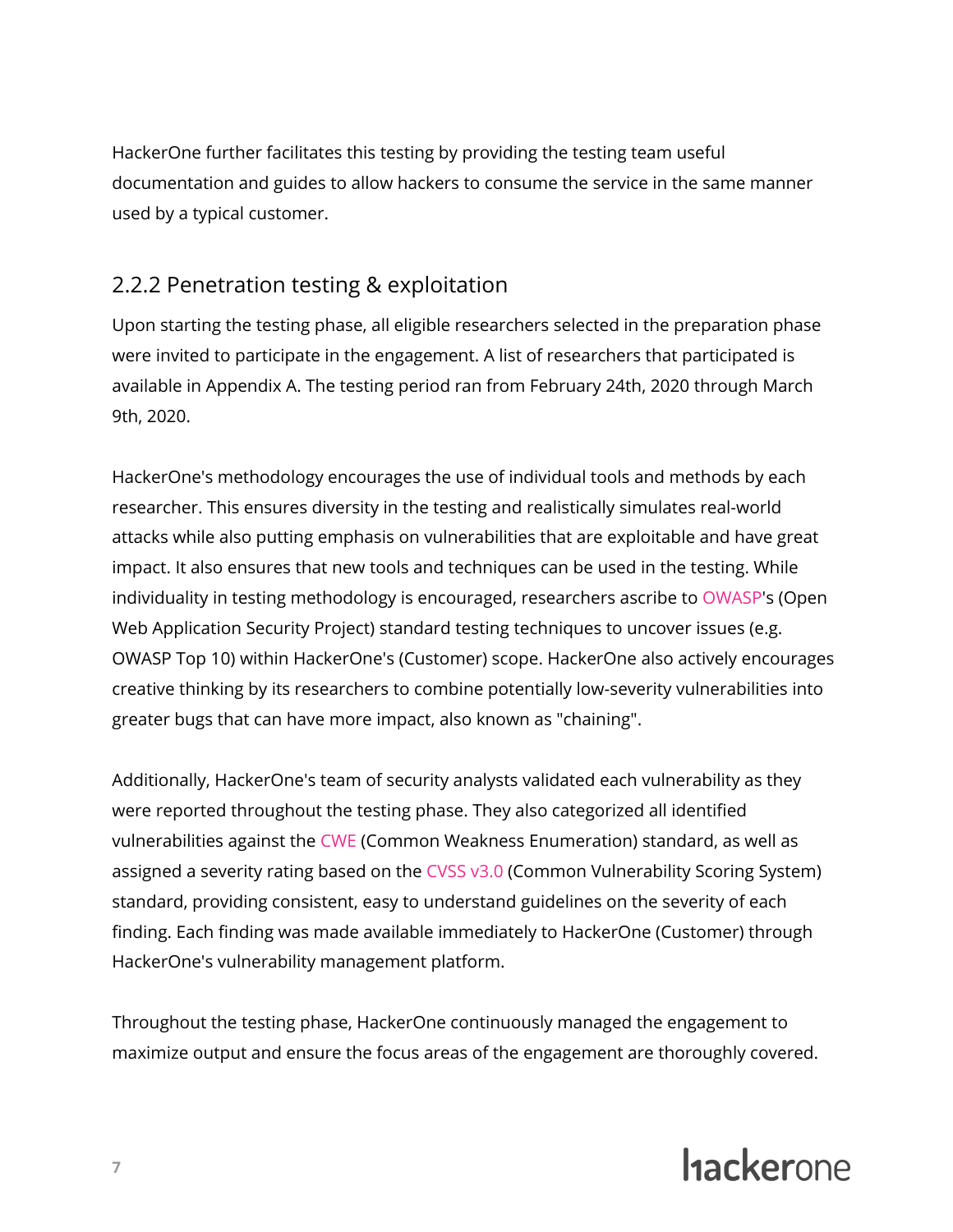HackerOne further facilitates this testing by providing the testing team useful documentation and guides to allow hackers to consume the service in the same manner used by a typical customer.

### <span id="page-7-0"></span>2.2.2 Penetration testing & exploitation

Upon starting the testing phase, all eligible researchers selected in the preparation phase were invited to participate in the engagement. A list of researchers that participated is available in Appendix A. The testing period ran from February 24th, 2020 through March 9th, 2020.

HackerOne's methodology encourages the use of individual tools and methods by each researcher. This ensures diversity in the testing and realistically simulates real-world attacks while also putting emphasis on vulnerabilities that are exploitable and have great impact. It also ensures that new tools and techniques can be used in the testing. While individuality in testing methodology is encouraged, researchers ascribe to [OWASP](https://www.owasp.org/index.php/Main_Page)'s (Open Web Application Security Project) standard testing techniques to uncover issues (e.g. OWASP Top 10) within HackerOne's (Customer) scope. HackerOne also actively encourages creative thinking by its researchers to combine potentially low-severity vulnerabilities into greater bugs that can have more impact, also known as "chaining".

Additionally, HackerOne's team of security analysts validated each vulnerability as they were reported throughout the testing phase. They also categorized all identified vulnerabilities against the [CWE](https://cwe.mitre.org/about/) (Common Weakness Enumeration) standard, as well as assigned a severity rating based on the [CVSS](https://www.first.org/cvss) v3.0 (Common Vulnerability Scoring System) standard, providing consistent, easy to understand guidelines on the severity of each finding. Each finding was made available immediately to HackerOne (Customer) through HackerOne's vulnerability management platform.

Throughout the testing phase, HackerOne continuously managed the engagement to maximize output and ensure the focus areas of the engagement are thoroughly covered.

# **Hackerone**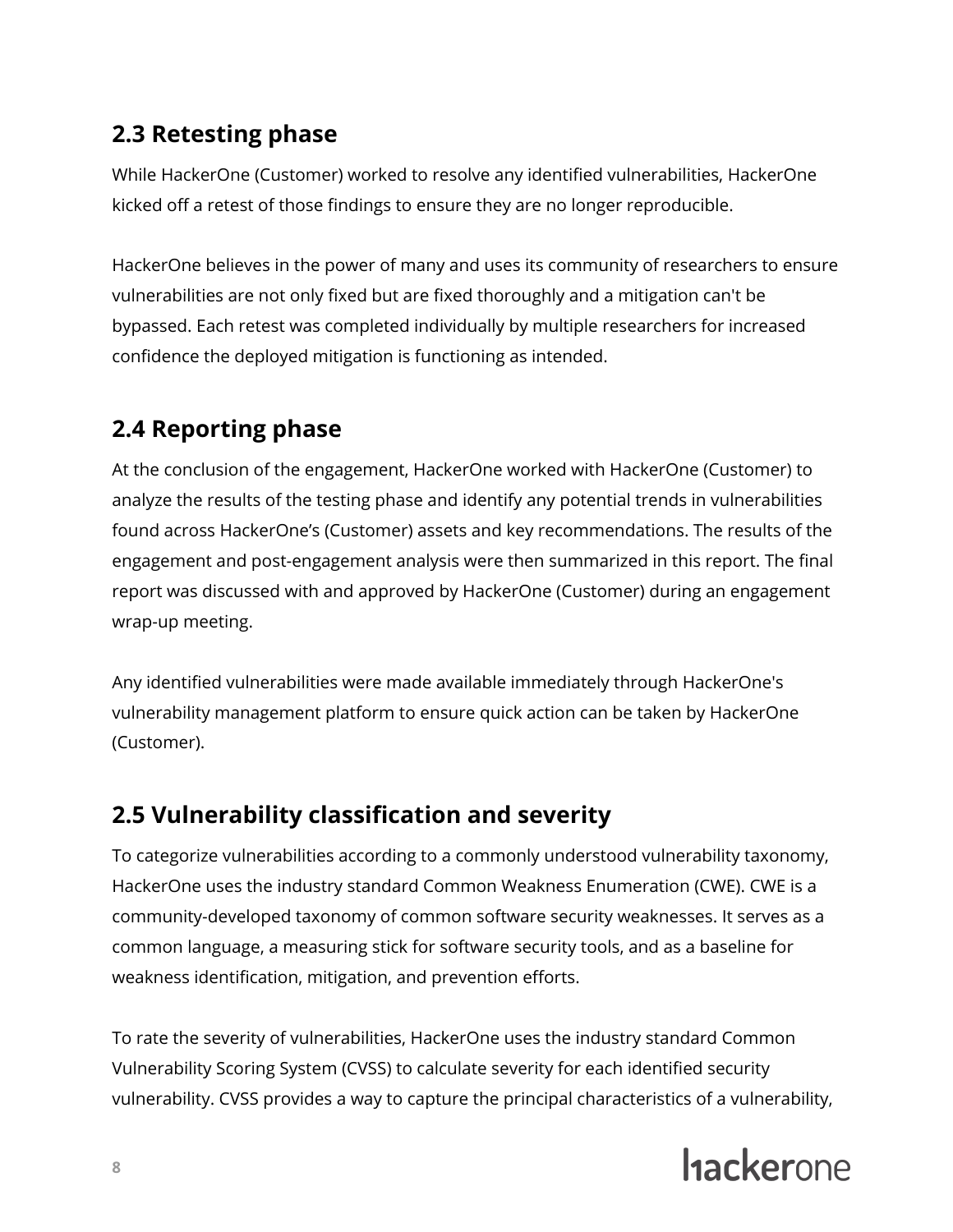### <span id="page-8-0"></span>**2.3 Retesting phase**

While HackerOne (Customer) worked to resolve any identified vulnerabilities, HackerOne kicked off a retest of those findings to ensure they are no longer reproducible.

HackerOne believes in the power of many and uses its community of researchers to ensure vulnerabilities are not only fixed but are fixed thoroughly and a mitigation can't be bypassed. Each retest was completed individually by multiple researchers for increased confidence the deployed mitigation is functioning as intended.

### <span id="page-8-1"></span>**2.4 Reporting phase**

At the conclusion of the engagement, HackerOne worked with HackerOne (Customer) to analyze the results of the testing phase and identify any potential trends in vulnerabilities found across HackerOne's (Customer) assets and key recommendations. The results of the engagement and post-engagement analysis were then summarized in this report. The final report was discussed with and approved by HackerOne (Customer) during an engagement wrap-up meeting.

Any identified vulnerabilities were made available immediately through HackerOne's vulnerability management platform to ensure quick action can be taken by HackerOne (Customer).

### <span id="page-8-2"></span>**2.5 Vulnerability classification and severity**

To categorize vulnerabilities according to a commonly understood vulnerability taxonomy, HackerOne uses the industry standard Common Weakness Enumeration (CWE). CWE is a community-developed taxonomy of common software security weaknesses. It serves as a common language, a measuring stick for software security tools, and as a baseline for weakness identification, mitigation, and prevention efforts.

To rate the severity of vulnerabilities, HackerOne uses the industry standard Common Vulnerability Scoring System (CVSS) to calculate severity for each identified security vulnerability. CVSS provides a way to capture the principal characteristics of a vulnerability,

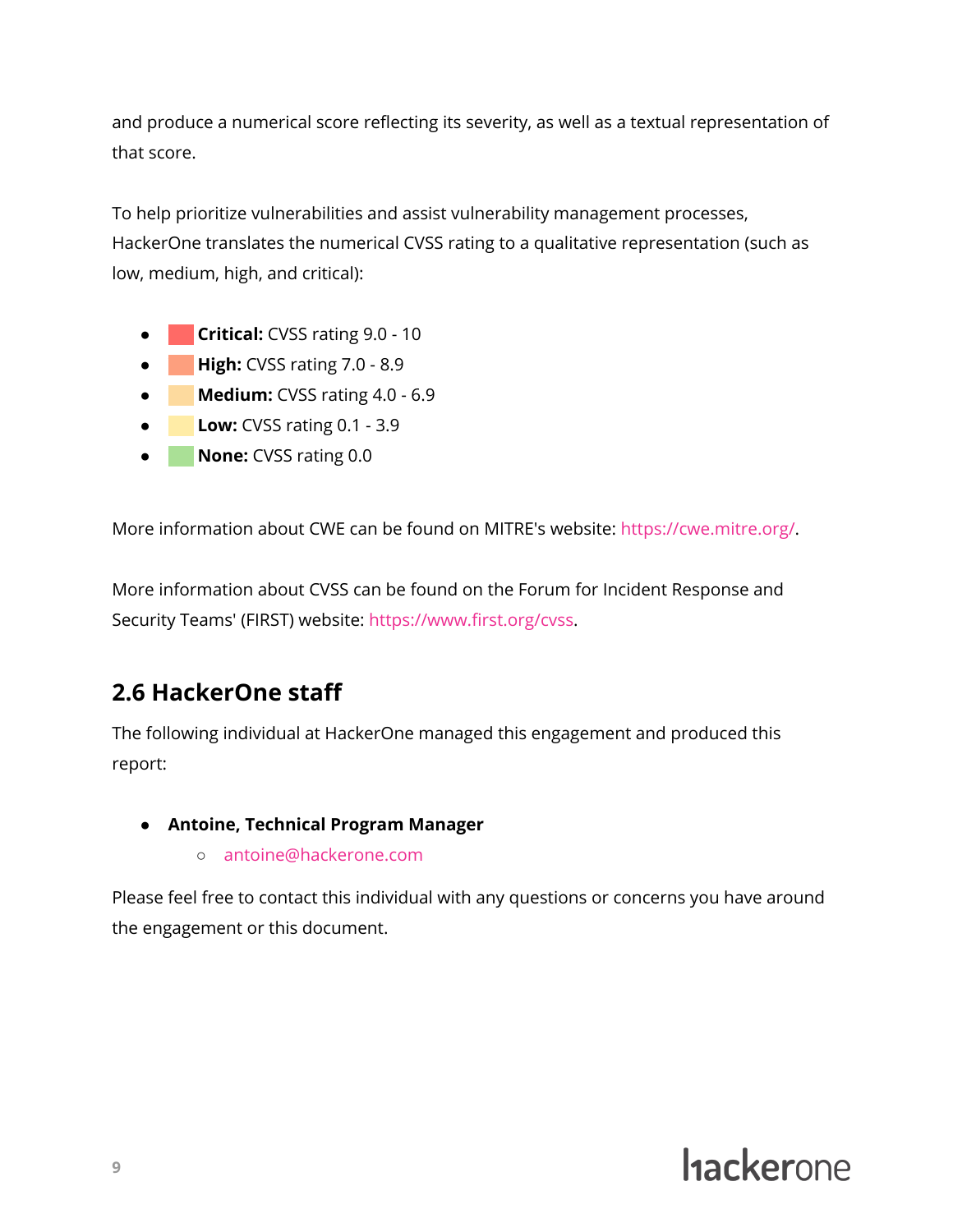and produce a numerical score reflecting its severity, as well as a textual representation of that score.

To help prioritize vulnerabilities and assist vulnerability management processes, HackerOne translates the numerical CVSS rating to a qualitative representation (such as low, medium, high, and critical):

- **Critical:** CVSS rating 9.0 10
- **High:** CVSS rating 7.0 8.9
- **Medium:** CVSS rating 4.0 6.9
- **Low:** CVSS rating 0.1 3.9
- \\\\ **None:** CVSS rating 0.0

More information about CWE can be found on MITRE's website: [https://cwe.mitre.org/.](https://cwe.mitre.org/)

More information about CVSS can be found on the Forum for Incident Response and Security Teams' (FIRST) website: [https://www.first.org/cvss.](https://www.first.org/cvss)

### <span id="page-9-0"></span>**2.6 HackerOne staff**

The following individual at HackerOne managed this engagement and produced this report:

- **Antoine, Technical Program Manager**
	- antoine@hackerone.com

Please feel free to contact this individual with any questions or concerns you have around the engagement or this document.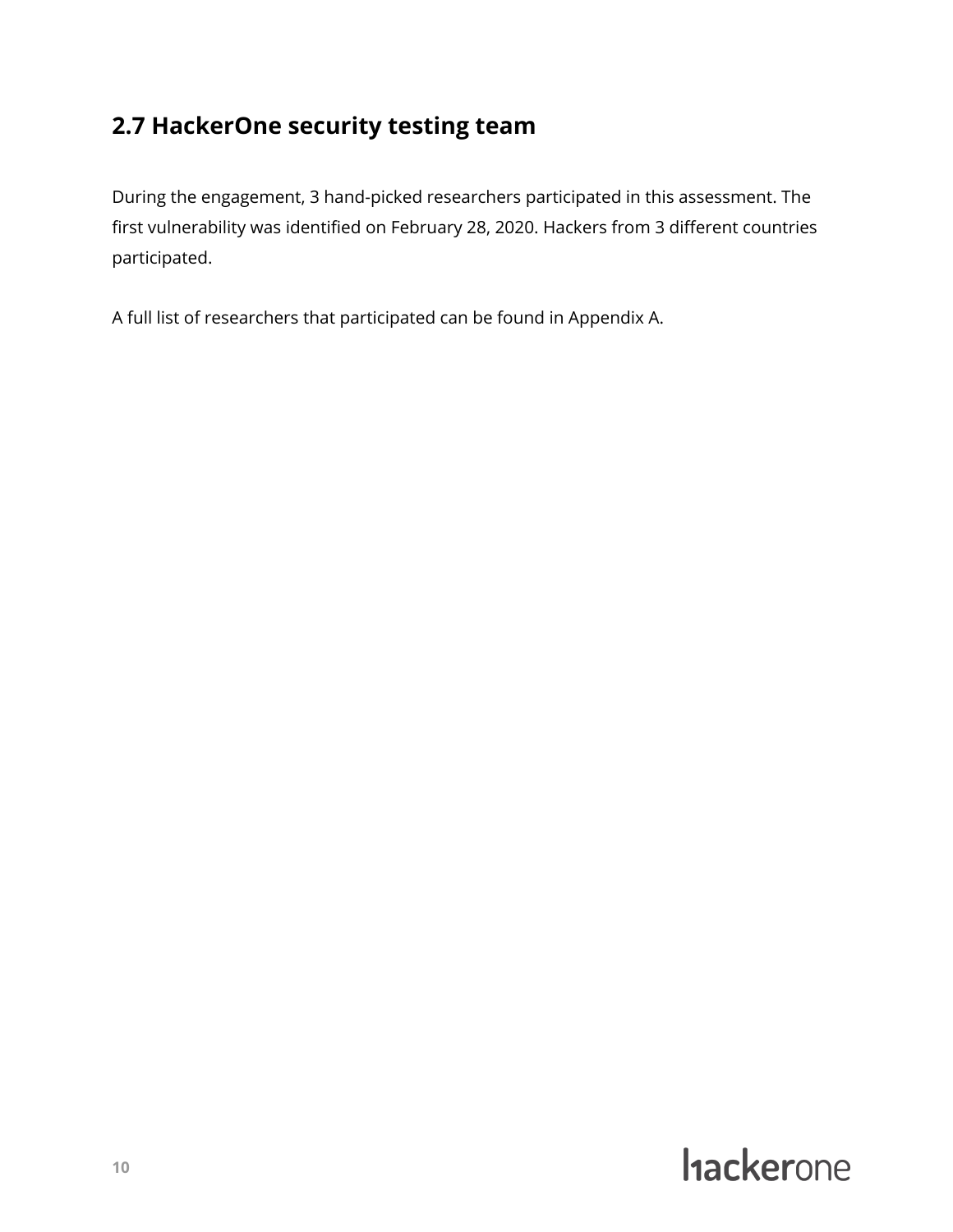### <span id="page-10-0"></span>**2.7 HackerOne security testing team**

During the engagement, 3 hand-picked researchers participated in this assessment. The first vulnerability was identified on February 28, 2020. Hackers from 3 different countries participated.

A full list of researchers that participated can be found in Appendix A.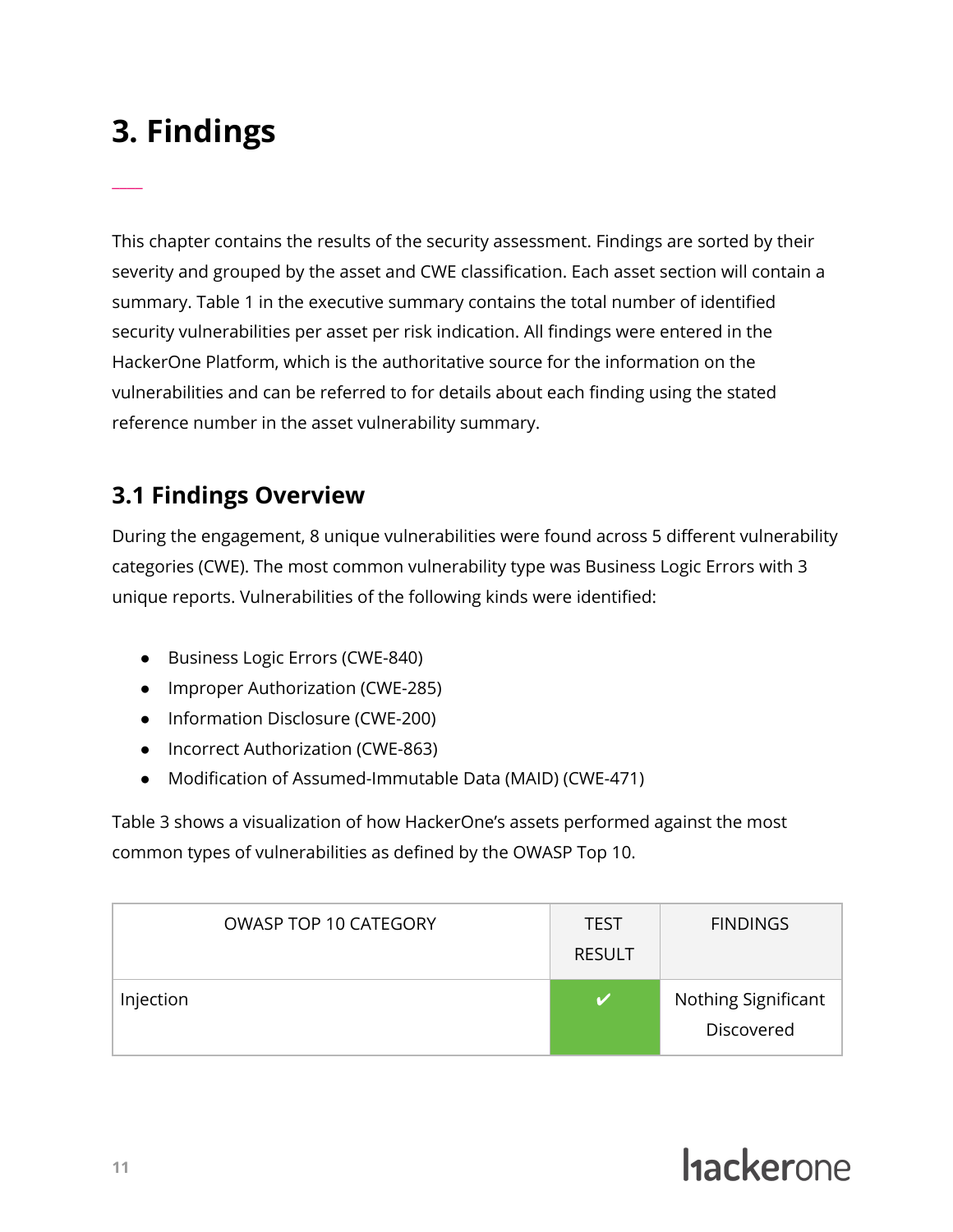# <span id="page-11-0"></span>**3. Findings**

 $\overline{\phantom{a}}$ 

This chapter contains the results of the security assessment. Findings are sorted by their severity and grouped by the asset and CWE classification. Each asset section will contain a summary. Table 1 in the executive summary contains the total number of identified security vulnerabilities per asset per risk indication. All findings were entered in the HackerOne Platform, which is the authoritative source for the information on the vulnerabilities and can be referred to for details about each finding using the stated reference number in the asset vulnerability summary.

### <span id="page-11-1"></span>**3.1 Findings Overview**

During the engagement, 8 unique vulnerabilities were found across 5 different vulnerability categories (CWE). The most common vulnerability type was Business Logic Errors with 3 unique reports. Vulnerabilities of the following kinds were identified:

- Business Logic Errors (CWE-840)
- Improper Authorization (CWE-285)
- Information Disclosure (CWE-200)
- Incorrect Authorization (CWE-863)
- Modification of Assumed-Immutable Data (MAID) (CWE-471)

Table 3 shows a visualization of how HackerOne's assets performed against the most common types of vulnerabilities as defined by the OWASP Top 10.

| <b>OWASP TOP 10 CATEGORY</b> | <b>TEST</b><br><b>RESULT</b> | <b>FINDINGS</b>                   |
|------------------------------|------------------------------|-----------------------------------|
| Injection                    |                              | Nothing Significant<br>Discovered |

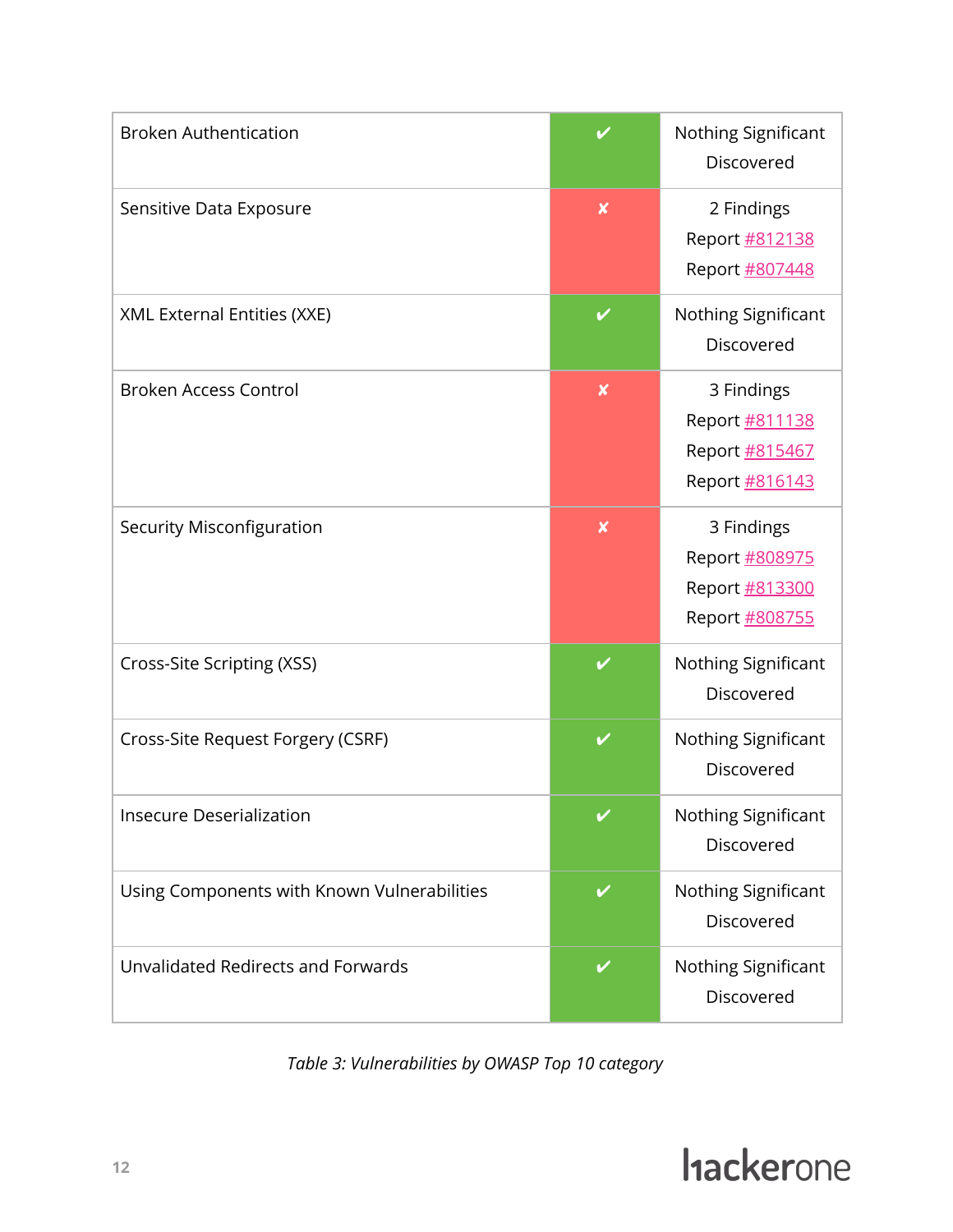| <b>Broken Authentication</b>                |                           | Nothing Significant<br>Discovered                                |
|---------------------------------------------|---------------------------|------------------------------------------------------------------|
| Sensitive Data Exposure                     | $\pmb{\mathsf{x}}$        | 2 Findings<br>Report #812138<br>Report #807448                   |
| XML External Entities (XXE)                 | V                         | Nothing Significant<br>Discovered                                |
| <b>Broken Access Control</b>                | $\boldsymbol{\mathsf{x}}$ | 3 Findings<br>Report #811138<br>Report #815467<br>Report #816143 |
| <b>Security Misconfiguration</b>            | $\boldsymbol{\mathsf{x}}$ | 3 Findings<br>Report #808975<br>Report #813300<br>Report #808755 |
| Cross-Site Scripting (XSS)                  | V                         | Nothing Significant<br>Discovered                                |
| Cross-Site Request Forgery (CSRF)           | ✓                         | Nothing Significant<br>Discovered                                |
| <b>Insecure Deserialization</b>             |                           | Nothing Significant<br>Discovered                                |
| Using Components with Known Vulnerabilities | V                         | Nothing Significant<br>Discovered                                |
| Unvalidated Redirects and Forwards          | V                         | Nothing Significant<br>Discovered                                |

*Table 3: Vulnerabilities by OWASP Top 10 category*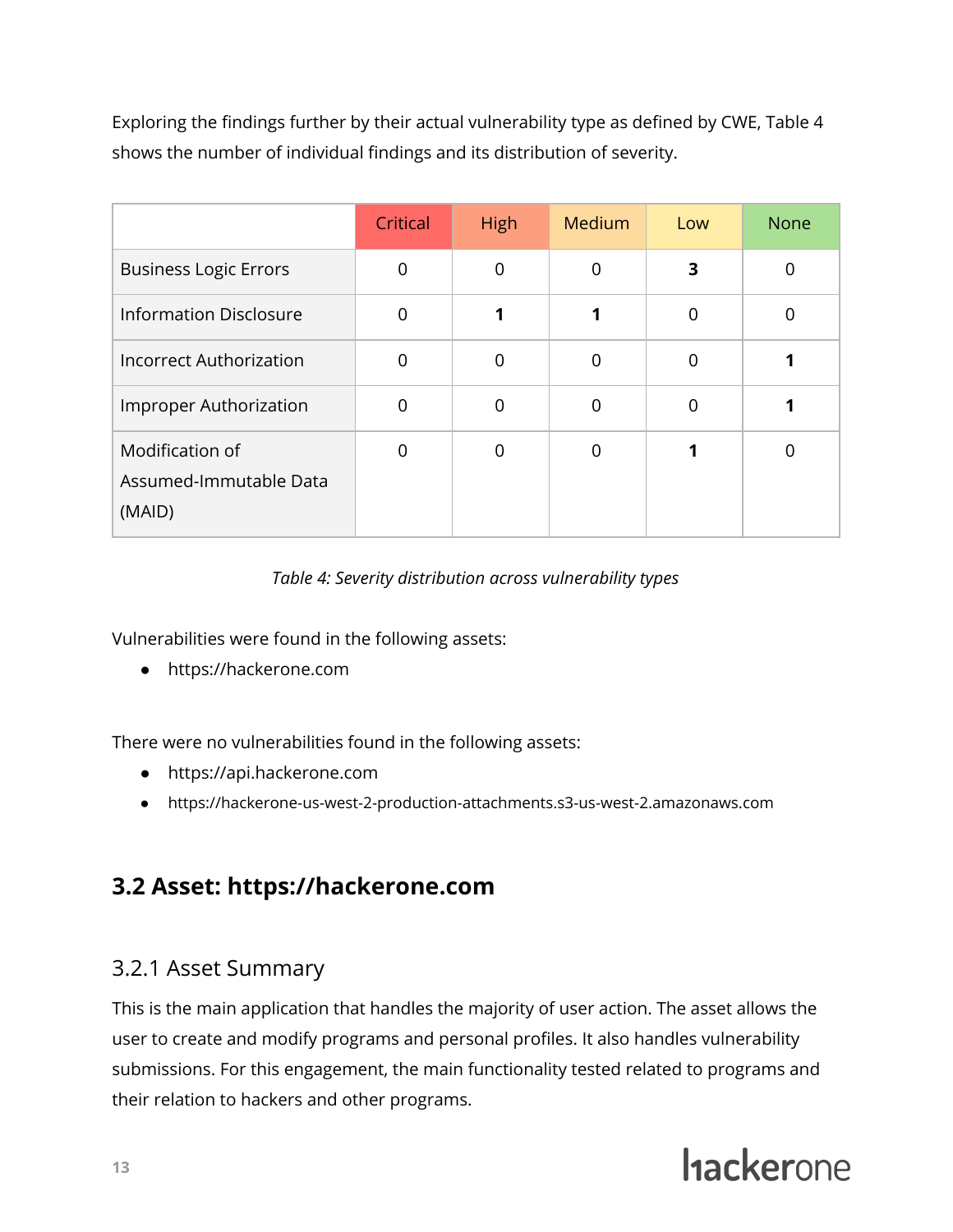Exploring the findings further by their actual vulnerability type as defined by CWE, Table 4 shows the number of individual findings and its distribution of severity.

|                                                     | Critical | High     | Medium   | Low      | <b>None</b> |
|-----------------------------------------------------|----------|----------|----------|----------|-------------|
| <b>Business Logic Errors</b>                        |          | 0        | 0        | 3        | 0           |
| <b>Information Disclosure</b>                       | O        |          |          | $\Omega$ | $\Omega$    |
| <b>Incorrect Authorization</b>                      |          | $\Omega$ | $\Omega$ | $\Omega$ |             |
| Improper Authorization                              | ∩        | $\Omega$ | $\Omega$ | $\Omega$ |             |
| Modification of<br>Assumed-Immutable Data<br>(MAID) |          | $\Omega$ | $\Omega$ |          | $\Omega$    |

### *Table 4: Severity distribution across vulnerability types*

Vulnerabilities were found in the following assets:

● https://hackerone.com

There were no vulnerabilities found in the following assets:

- https://api.hackerone.com
- https://hackerone-us-west-2-production-attachments.s3-us-west-2.amazonaws.com

### <span id="page-13-0"></span>**3.2 Asset: https://hackerone.com**

### <span id="page-13-1"></span>3.2.1 Asset Summary

This is the main application that handles the majority of user action. The asset allows the user to create and modify programs and personal profiles. It also handles vulnerability submissions. For this engagement, the main functionality tested related to programs and their relation to hackers and other programs.

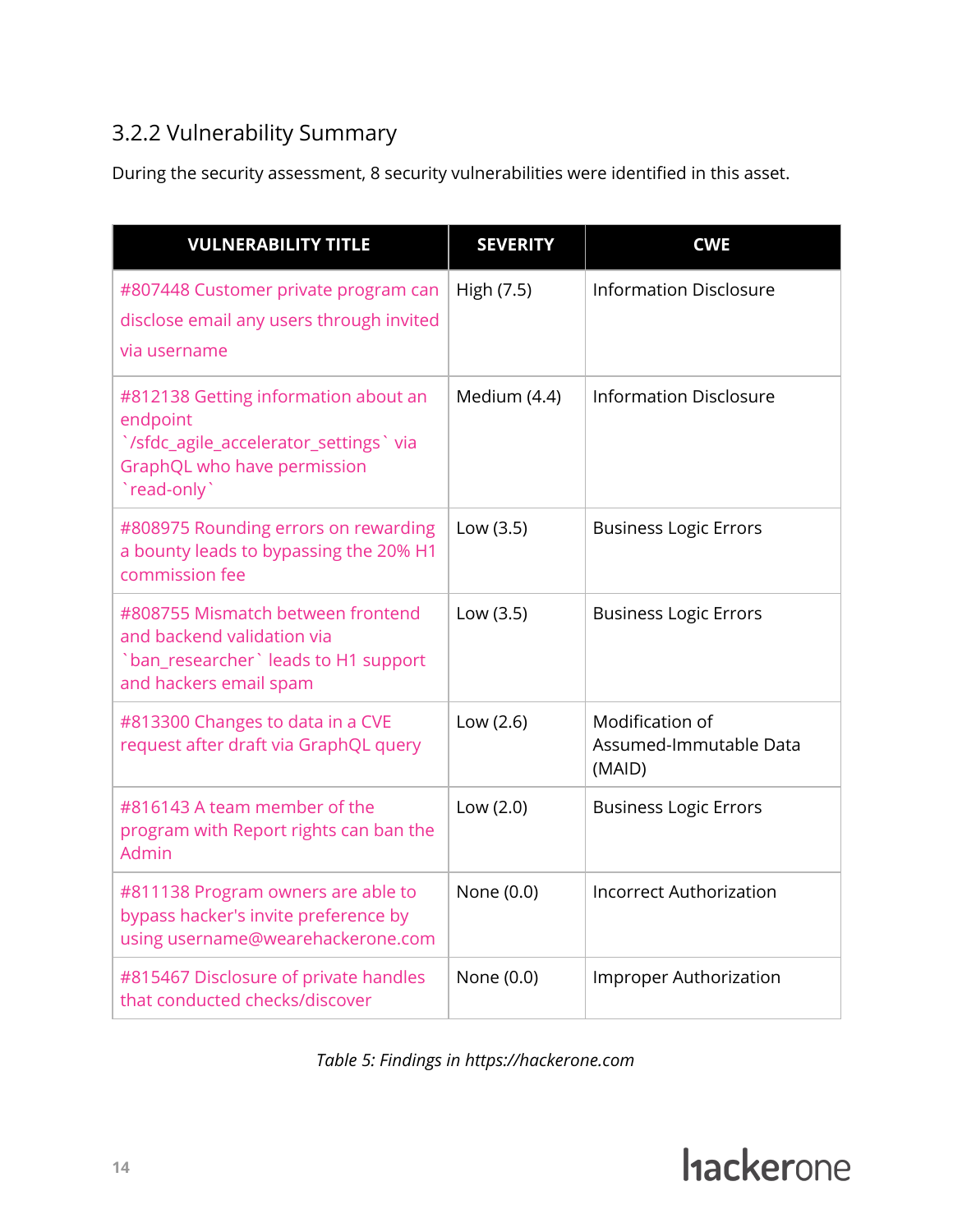### <span id="page-14-0"></span>3.2.2 Vulnerability Summary

During the security assessment, 8 security vulnerabilities were identified in this asset.

| <b>VULNERABILITY TITLE</b>                                                                                                              | <b>SEVERITY</b> | <b>CWE</b>                                          |
|-----------------------------------------------------------------------------------------------------------------------------------------|-----------------|-----------------------------------------------------|
| #807448 Customer private program can<br>disclose email any users through invited<br>via username                                        | High (7.5)      | <b>Information Disclosure</b>                       |
| #812138 Getting information about an<br>endpoint<br>`/sfdc_agile_accelerator_settings`via<br>GraphQL who have permission<br>`read-only` | Medium (4.4)    | <b>Information Disclosure</b>                       |
| #808975 Rounding errors on rewarding<br>a bounty leads to bypassing the 20% H1<br>commission fee                                        | Low (3.5)       | <b>Business Logic Errors</b>                        |
| #808755 Mismatch between frontend<br>and backend validation via<br>`ban_researcher` leads to H1 support<br>and hackers email spam       | Low (3.5)       | <b>Business Logic Errors</b>                        |
| #813300 Changes to data in a CVE<br>request after draft via GraphQL query                                                               | Low (2.6)       | Modification of<br>Assumed-Immutable Data<br>(MAID) |
| #816143 A team member of the<br>program with Report rights can ban the<br>Admin                                                         | Low (2.0)       | <b>Business Logic Errors</b>                        |
| #811138 Program owners are able to<br>bypass hacker's invite preference by<br>using username@wearehackerone.com                         | None (0.0)      | <b>Incorrect Authorization</b>                      |
| #815467 Disclosure of private handles<br>that conducted checks/discover                                                                 | None (0.0)      | Improper Authorization                              |

*Table 5: Findings in https://hackerone.com*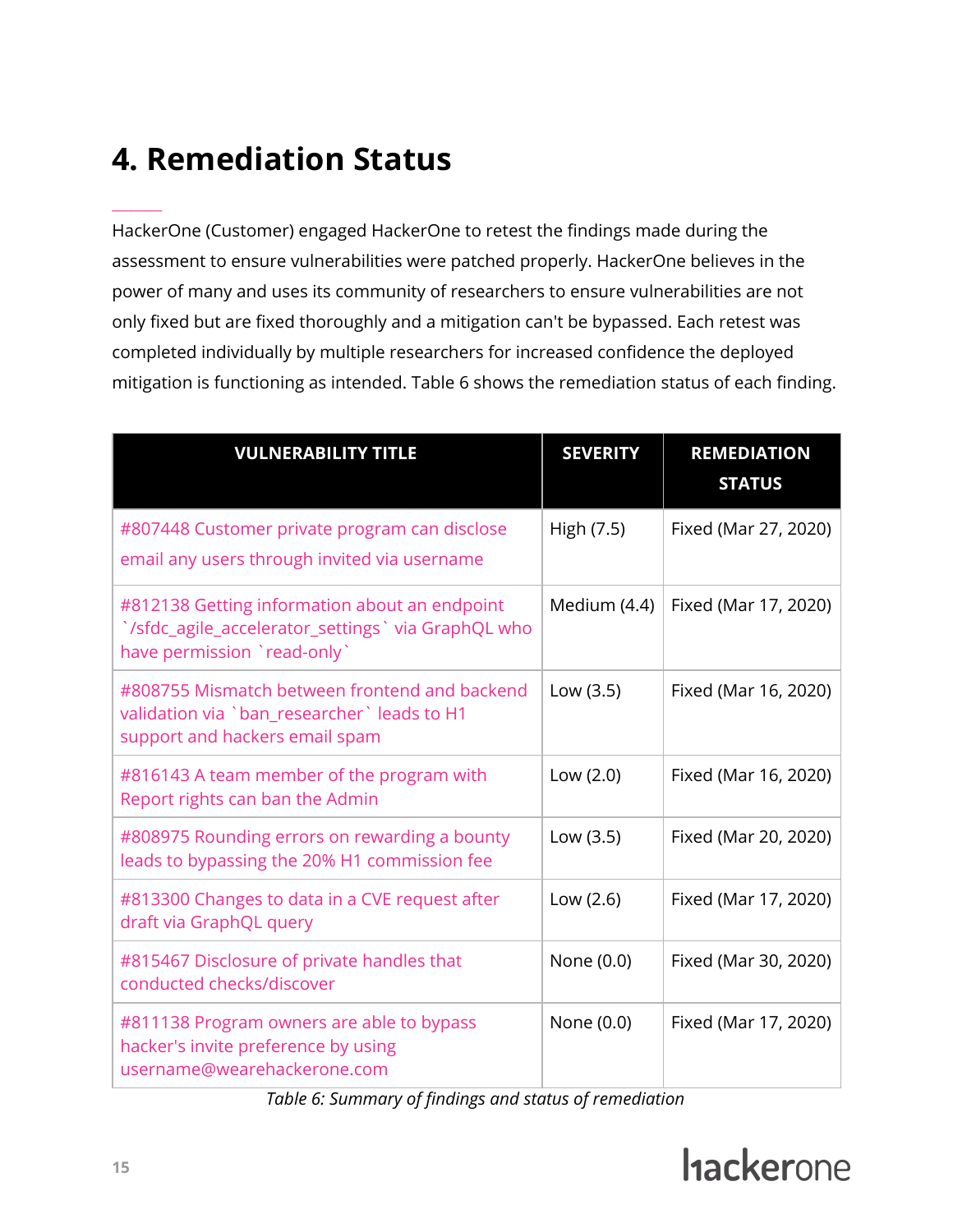## <span id="page-15-0"></span>**4. Remediation Status**

 $\overline{\phantom{a}}$ 

HackerOne (Customer) engaged HackerOne to retest the findings made during the assessment to ensure vulnerabilities were patched properly. HackerOne believes in the power of many and uses its community of researchers to ensure vulnerabilities are not only fixed but are fixed thoroughly and a mitigation can't be bypassed. Each retest was completed individually by multiple researchers for increased confidence the deployed mitigation is functioning as intended. Table 6 shows the remediation status of each finding.

| <b>VULNERABILITY TITLE</b>                                                                                                         | <b>SEVERITY</b> | <b>REMEDIATION</b><br><b>STATUS</b> |
|------------------------------------------------------------------------------------------------------------------------------------|-----------------|-------------------------------------|
| #807448 Customer private program can disclose<br>email any users through invited via username                                      | High (7.5)      | Fixed (Mar 27, 2020)                |
| #812138 Getting information about an endpoint<br>`/sfdc_agile_accelerator_settings` via GraphQL who<br>have permission `read-only` | Medium (4.4)    | Fixed (Mar 17, 2020)                |
| #808755 Mismatch between frontend and backend<br>validation via `ban_researcher` leads to H1<br>support and hackers email spam     | Low (3.5)       | Fixed (Mar 16, 2020)                |
| #816143 A team member of the program with<br>Report rights can ban the Admin                                                       | Low (2.0)       | Fixed (Mar 16, 2020)                |
| #808975 Rounding errors on rewarding a bounty<br>leads to bypassing the 20% H1 commission fee                                      | Low (3.5)       | Fixed (Mar 20, 2020)                |
| #813300 Changes to data in a CVE request after<br>draft via GraphQL query                                                          | Low (2.6)       | Fixed (Mar 17, 2020)                |
| #815467 Disclosure of private handles that<br>conducted checks/discover                                                            | None (0.0)      | Fixed (Mar 30, 2020)                |
| #811138 Program owners are able to bypass<br>hacker's invite preference by using<br>username@wearehackerone.com                    | None (0.0)      | Fixed (Mar 17, 2020)                |

*Table 6: Summary of findings and status of remediation*